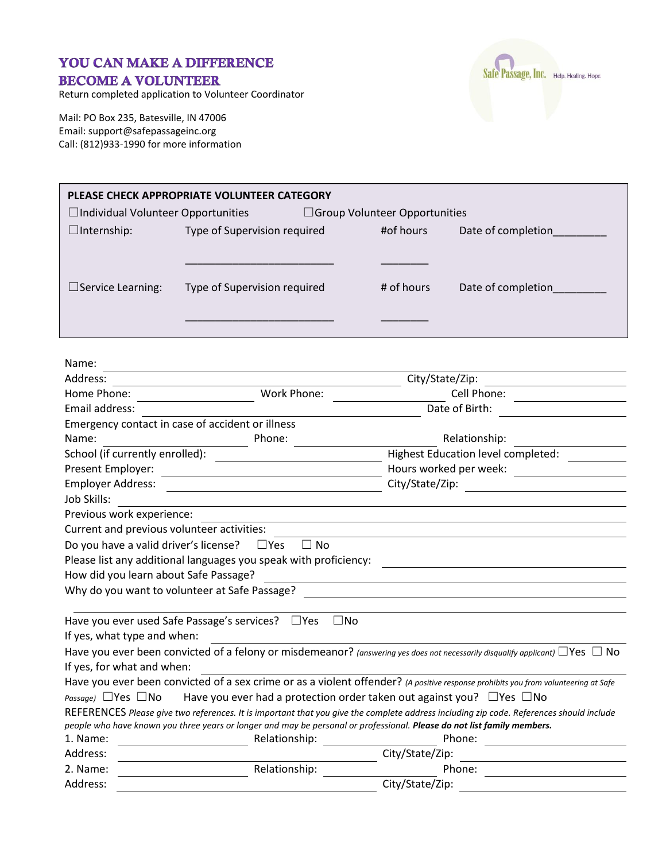## YOU CAN MAKE A DIFFERENCE **BECOME A VOLUNTEER**

Return completed application to Volunteer Coordinator

Mail: PO Box 235, Batesville, IN 47006 Email: support@safepassageinc.org Call: (812)933-1990 for more information



| PLEASE CHECK APPROPRIATE VOLUNTEER CATEGORY |                              |                                      |            |                    |  |  |  |
|---------------------------------------------|------------------------------|--------------------------------------|------------|--------------------|--|--|--|
| $\Box$ Individual Volunteer Opportunities   |                              | $\Box$ Group Volunteer Opportunities |            |                    |  |  |  |
| $\Box$ Internship:                          | Type of Supervision required |                                      | #of hours  | Date of completion |  |  |  |
| $\Box$ Service Learning:                    | Type of Supervision required |                                      | # of hours | Date of completion |  |  |  |

| Name:                                            |                                                                  |                                                                                                                                         |  |
|--------------------------------------------------|------------------------------------------------------------------|-----------------------------------------------------------------------------------------------------------------------------------------|--|
| Address:                                         | City/State/Zip:                                                  |                                                                                                                                         |  |
| Home Phone:                                      | Work Phone:                                                      | Cell Phone:                                                                                                                             |  |
| Email address:                                   |                                                                  | Date of Birth:                                                                                                                          |  |
| Emergency contact in case of accident or illness |                                                                  |                                                                                                                                         |  |
| Name:                                            | Phone:                                                           | Relationship:                                                                                                                           |  |
| School (if currently enrolled):                  |                                                                  | <b>Highest Education level completed:</b>                                                                                               |  |
| Present Employer:                                |                                                                  | Hours worked per week:                                                                                                                  |  |
| <b>Employer Address:</b>                         |                                                                  | City/State/Zip:                                                                                                                         |  |
| Job Skills:                                      |                                                                  |                                                                                                                                         |  |
| Previous work experience:                        |                                                                  |                                                                                                                                         |  |
| Current and previous volunteer activities:       |                                                                  |                                                                                                                                         |  |
| Do you have a valid driver's license?            | $\square$ Yes<br>∃ No                                            |                                                                                                                                         |  |
|                                                  | Please list any additional languages you speak with proficiency: |                                                                                                                                         |  |
| How did you learn about Safe Passage?            |                                                                  |                                                                                                                                         |  |
| Why do you want to volunteer at Safe Passage?    |                                                                  |                                                                                                                                         |  |
|                                                  |                                                                  |                                                                                                                                         |  |
| Have you ever used Safe Passage's services?      | $\square$ No<br>$\Box$ Yes                                       |                                                                                                                                         |  |
| If yes, what type and when:                      |                                                                  |                                                                                                                                         |  |
|                                                  |                                                                  | Have you ever been convicted of a felony or misdemeanor? (answering yes does not necessarily disqualify applicant) $\Box$ Yes $\Box$ No |  |
| If yes, for what and when:                       |                                                                  |                                                                                                                                         |  |
|                                                  |                                                                  | Have you ever been convicted of a sex crime or as a violent offender? (A positive response prohibits you from volunteering at Safe      |  |
| Passage) $\Box$ Yes $\Box$ No                    |                                                                  | Have you ever had a protection order taken out against you? $\Box$ Yes $\Box$ No                                                        |  |
|                                                  |                                                                  | REFERENCES Please give two references. It is important that you give the complete address including zip code. References should include |  |
|                                                  |                                                                  | people who have known you three years or longer and may be personal or professional. Please do not list family members.                 |  |
| 1. Name:                                         | Relationship:                                                    | Phone:                                                                                                                                  |  |
| Address:                                         |                                                                  | City/State/Zip:                                                                                                                         |  |
| 2. Name:                                         | Relationship:                                                    | Phone:                                                                                                                                  |  |
| Address:                                         | City/State/Zip:                                                  |                                                                                                                                         |  |